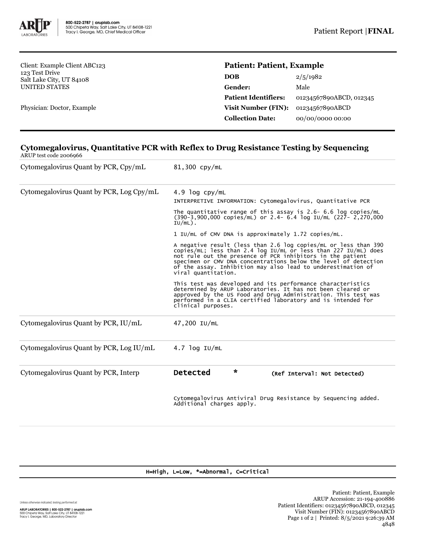

Client: Example Client ABC123 123 Test Drive Salt Lake City, UT 84108 UNITED STATES

Physician: Doctor, Example

# **Patient: Patient, Example**

| DOB                         | 2/5/1982                |
|-----------------------------|-------------------------|
| <b>Gender:</b>              | Male                    |
| <b>Patient Identifiers:</b> | 01234567890ABCD, 012345 |
| <b>Visit Number (FIN):</b>  | 01234567890ABCD         |
| <b>Collection Date:</b>     | 00/00/0000 00:00        |

#### **Cytomegalovirus, Quantitative PCR with Reflex to Drug Resistance Testing by Sequencing** ARUP test code 2006966

| Cytomegalovirus Quant by PCR, Cpy/mL     | 81,300 cpy/mL                                                                                                                                                                                                                                                                                                                                           |  |  |
|------------------------------------------|---------------------------------------------------------------------------------------------------------------------------------------------------------------------------------------------------------------------------------------------------------------------------------------------------------------------------------------------------------|--|--|
| Cytomegalovirus Quant by PCR, Log Cpy/mL | $4.9$ log cpy/mL<br>INTERPRETIVE INFORMATION: Cytomegalovirus, Quantitative PCR                                                                                                                                                                                                                                                                         |  |  |
|                                          | The quantitative range of this assay is 2.6- 6.6 log copies/mL<br>$(390-3,900,000$ copies/mL) or 2.4- 6.4 log IU/mL $(227 - 2,270,000)$<br>$IU/mL)$ .                                                                                                                                                                                                   |  |  |
|                                          | 1 IU/mL of CMV DNA is approximately 1.72 copies/mL.                                                                                                                                                                                                                                                                                                     |  |  |
|                                          | A negative result (less than 2.6 log copies/mL or less than 390<br>copies/mL; less than 2.4 log IU/mL or less than 227 IU/mL) does not rule out the presence of PCR inhibitors in the patient<br>specimen or CMV DNA concentrations below the level of detection<br>of the assay. Inhibition may also lead to underestimation of<br>viral quantitation. |  |  |
|                                          | This test was developed and its performance characteristics<br>determined by ARUP Laboratories. It has not been cleared or<br>approved by the US Food and Drug Administration. This test was<br>performed in a CLIA certified laboratory and is intended for<br>clinical purposes.                                                                      |  |  |
| Cytomegalovirus Quant by PCR, IU/mL      | 47,200 IU/mL                                                                                                                                                                                                                                                                                                                                            |  |  |
| Cytomegalovirus Quant by PCR, Log IU/mL  | $4.7$ log IU/mL                                                                                                                                                                                                                                                                                                                                         |  |  |
| Cytomegalovirus Quant by PCR, Interp     | $\star$<br><b>Detected</b><br>(Ref Interval: Not Detected)                                                                                                                                                                                                                                                                                              |  |  |
|                                          | Cytomegalovirus Antiviral Drug Resistance by Sequencing added.<br>Additional charges apply.                                                                                                                                                                                                                                                             |  |  |

### H=High, L=Low, \*=Abnormal, C=Critical

Unless otherwise indicated, testing performed at:

**ARUP LABORATORIES | 800-522-2787 | aruplab.com**<br>500 Chipeta Way, Salt Lake City, UT 84108-1221<br>Tracy I. George, MD, Laboratory Director

Patient: Patient, Example ARUP Accession: 21-194-400886 Patient Identifiers: 01234567890ABCD, 012345 Visit Number (FIN): 01234567890ABCD Page 1 of 2 | Printed: 8/5/2021 9:26:39 AM 4848